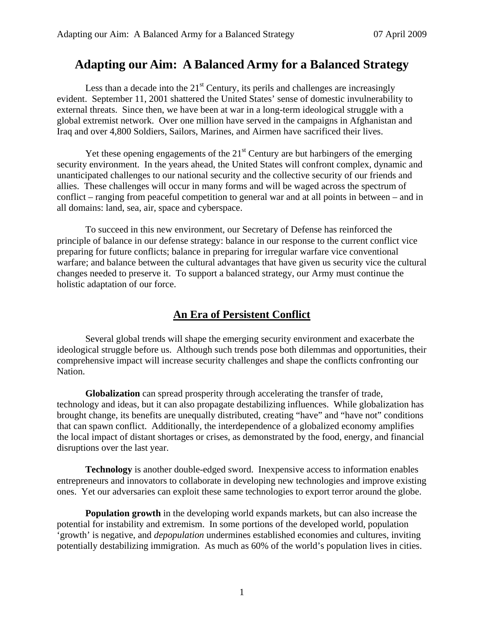# **Adapting our Aim: A Balanced Army for a Balanced Strategy**

Less than a decade into the  $21<sup>st</sup>$  Century, its perils and challenges are increasingly evident. September 11, 2001 shattered the United States' sense of domestic invulnerability to external threats. Since then, we have been at war in a long-term ideological struggle with a global extremist network. Over one million have served in the campaigns in Afghanistan and Iraq and over 4,800 Soldiers, Sailors, Marines, and Airmen have sacrificed their lives.

Yet these opening engagements of the  $21<sup>st</sup>$  Century are but harbingers of the emerging security environment. In the years ahead, the United States will confront complex, dynamic and unanticipated challenges to our national security and the collective security of our friends and allies. These challenges will occur in many forms and will be waged across the spectrum of conflict – ranging from peaceful competition to general war and at all points in between – and in all domains: land, sea, air, space and cyberspace.

To succeed in this new environment, our Secretary of Defense has reinforced the principle of balance in our defense strategy: balance in our response to the current conflict vice preparing for future conflicts; balance in preparing for irregular warfare vice conventional warfare; and balance between the cultural advantages that have given us security vice the cultural changes needed to preserve it. To support a balanced strategy, our Army must continue the holistic adaptation of our force.

## **An Era of Persistent Conflict**

Several global trends will shape the emerging security environment and exacerbate the ideological struggle before us. Although such trends pose both dilemmas and opportunities, their comprehensive impact will increase security challenges and shape the conflicts confronting our Nation.

**Globalization** can spread prosperity through accelerating the transfer of trade, technology and ideas, but it can also propagate destabilizing influences. While globalization has brought change, its benefits are unequally distributed, creating "have" and "have not" conditions that can spawn conflict. Additionally, the interdependence of a globalized economy amplifies the local impact of distant shortages or crises, as demonstrated by the food, energy, and financial disruptions over the last year.

**Technology** is another double-edged sword. Inexpensive access to information enables entrepreneurs and innovators to collaborate in developing new technologies and improve existing ones. Yet our adversaries can exploit these same technologies to export terror around the globe.

**Population growth** in the developing world expands markets, but can also increase the potential for instability and extremism. In some portions of the developed world, population 'growth' is negative, and *depopulation* undermines established economies and cultures, inviting potentially destabilizing immigration. As much as 60% of the world's population lives in cities.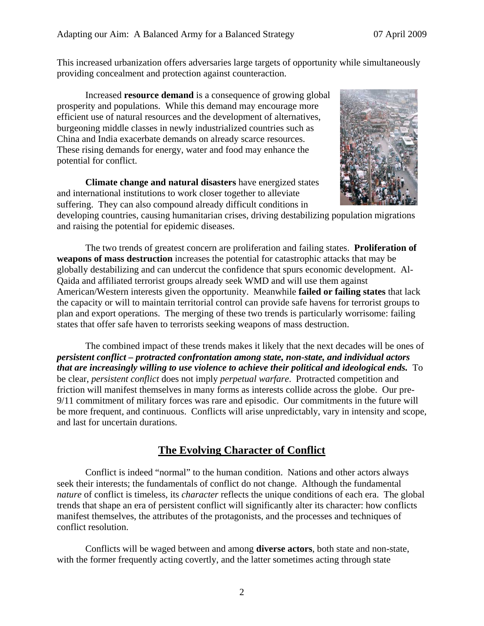This increased urbanization offers adversaries large targets of opportunity while simultaneously providing concealment and protection against counteraction.

Increased **resource demand** is a consequence of growing global prosperity and populations. While this demand may encourage more efficient use of natural resources and the development of alternatives, burgeoning middle classes in newly industrialized countries such as China and India exacerbate demands on already scarce resources. These rising demands for energy, water and food may enhance the potential for conflict.

**Climate change and natural disasters** have energized states and international institutions to work closer together to alleviate suffering. They can also compound already difficult conditions in



developing countries, causing humanitarian crises, driving destabilizing population migrations and raising the potential for epidemic diseases.

The two trends of greatest concern are proliferation and failing states. **Proliferation of weapons of mass destruction** increases the potential for catastrophic attacks that may be globally destabilizing and can undercut the confidence that spurs economic development. Al-Qaida and affiliated terrorist groups already seek WMD and will use them against American/Western interests given the opportunity.Meanwhile **failed or failing states** that lack the capacity or will to maintain territorial control can provide safe havens for terrorist groups to plan and export operations. The merging of these two trends is particularly worrisome: failing states that offer safe haven to terrorists seeking weapons of mass destruction.

 The combined impact of these trends makes it likely that the next decades will be ones of *persistent conflict – protracted confrontation among state, non-state, and individual actors that are increasingly willing to use violence to achieve their political and ideological ends.* To be clear, *persistent conflict* does not imply *perpetual warfare*. Protracted competition and friction will manifest themselves in many forms as interests collide across the globe. Our pre-9/11 commitment of military forces was rare and episodic. Our commitments in the future will be more frequent, and continuous. Conflicts will arise unpredictably, vary in intensity and scope, and last for uncertain durations.

## **The Evolving Character of Conflict**

Conflict is indeed "normal" to the human condition. Nations and other actors always seek their interests; the fundamentals of conflict do not change. Although the fundamental *nature* of conflict is timeless, its *character* reflects the unique conditions of each era. The global trends that shape an era of persistent conflict will significantly alter its character: how conflicts manifest themselves, the attributes of the protagonists, and the processes and techniques of conflict resolution.

Conflicts will be waged between and among **diverse actors**, both state and non-state, with the former frequently acting covertly, and the latter sometimes acting through state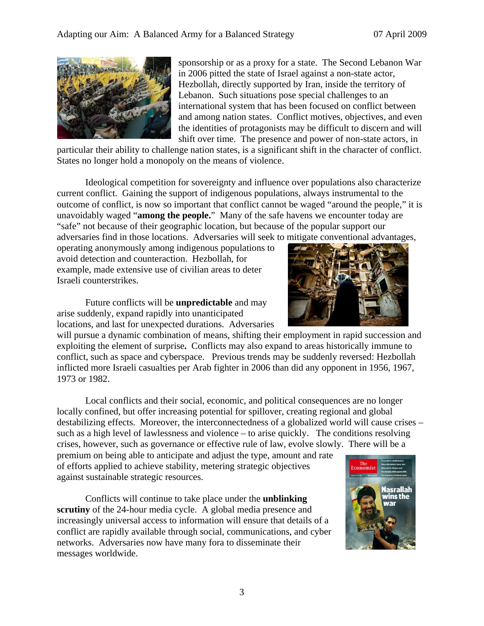

sponsorship or as a proxy for a state. The Second Lebanon War in 2006 pitted the state of Israel against a non-state actor, Hezbollah, directly supported by Iran, inside the territory of Lebanon. Such situations pose special challenges to an international system that has been focused on conflict between and among nation states. Conflict motives, objectives, and even the identities of protagonists may be difficult to discern and will shift over time. The presence and power of non-state actors, in

particular their ability to challenge nation states, is a significant shift in the character of conflict. States no longer hold a monopoly on the means of violence.

Ideological competition for sovereignty and influence over populations also characterize current conflict. Gaining the support of indigenous populations, always instrumental to the outcome of conflict, is now so important that conflict cannot be waged "around the people," it is unavoidably waged "**among the people.**" Many of the safe havens we encounter today are "safe" not because of their geographic location, but because of the popular support our adversaries find in those locations. Adversaries will seek to mitigate conventional advantages,

operating anonymously among indigenous populations to avoid detection and counteraction. Hezbollah, for example, made extensive use of civilian areas to deter Israeli counterstrikes.

Future conflicts will be **unpredictable** and may arise suddenly, expand rapidly into unanticipated locations, and last for unexpected durations. Adversaries

will pursue a dynamic combination of means, shifting their employment in rapid succession and exploiting the element of surprise**.** Conflicts may also expand to areas historically immune to conflict, such as space and cyberspace. Previous trends may be suddenly reversed: Hezbollah inflicted more Israeli casualties per Arab fighter in 2006 than did any opponent in 1956, 1967, 1973 or 1982.

Local conflicts and their social, economic, and political consequences are no longer locally confined, but offer increasing potential for spillover, creating regional and global destabilizing effects. Moreover, the interconnectedness of a globalized world will cause crises – such as a high level of lawlessness and violence – to arise quickly. The conditions resolving crises, however, such as governance or effective rule of law, evolve slowly. There will be a

premium on being able to anticipate and adjust the type, amount and rate of efforts applied to achieve stability, metering strategic objectives against sustainable strategic resources.

Conflicts will continue to take place under the **unblinking scrutiny** of the 24-hour media cycle. A global media presence and increasingly universal access to information will ensure that details of a conflict are rapidly available through social, communications, and cyber networks. Adversaries now have many fora to disseminate their messages worldwide.



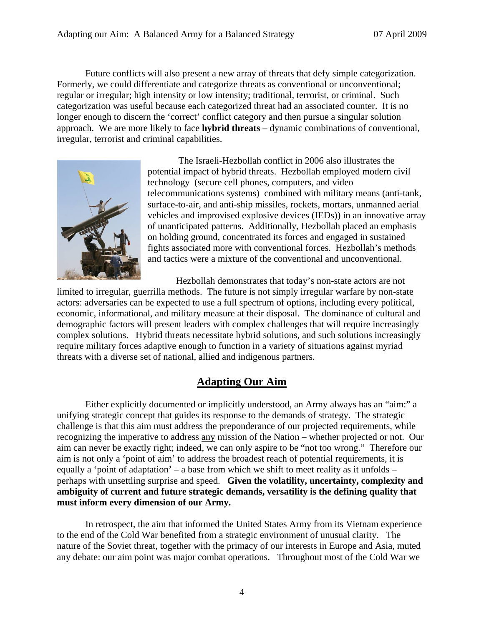Future conflicts will also present a new array of threats that defy simple categorization. Formerly, we could differentiate and categorize threats as conventional or unconventional; regular or irregular; high intensity or low intensity; traditional, terrorist, or criminal. Such categorization was useful because each categorized threat had an associated counter. It is no longer enough to discern the 'correct' conflict category and then pursue a singular solution approach. We are more likely to face **hybrid threats** – dynamic combinations of conventional, irregular, terrorist and criminal capabilities.



 The Israeli-Hezbollah conflict in 2006 also illustrates the potential impact of hybrid threats. Hezbollah employed modern civil technology (secure cell phones, computers, and video telecommunications systems) combined with military means (anti-tank, surface-to-air, and anti-ship missiles, rockets, mortars, unmanned aerial vehicles and improvised explosive devices (IEDs)) in an innovative array of unanticipated patterns. Additionally, Hezbollah placed an emphasis on holding ground, concentrated its forces and engaged in sustained fights associated more with conventional forces. Hezbollah's methods and tactics were a mixture of the conventional and unconventional.

Hezbollah demonstrates that today's non-state actors are not

limited to irregular, guerrilla methods. The future is not simply irregular warfare by non-state actors: adversaries can be expected to use a full spectrum of options, including every political, economic, informational, and military measure at their disposal. The dominance of cultural and demographic factors will present leaders with complex challenges that will require increasingly complex solutions. Hybrid threats necessitate hybrid solutions, and such solutions increasingly require military forces adaptive enough to function in a variety of situations against myriad threats with a diverse set of national, allied and indigenous partners.

### **Adapting Our Aim**

 Either explicitly documented or implicitly understood, an Army always has an "aim:" a unifying strategic concept that guides its response to the demands of strategy. The strategic challenge is that this aim must address the preponderance of our projected requirements, while recognizing the imperative to address any mission of the Nation – whether projected or not. Our aim can never be exactly right; indeed, we can only aspire to be "not too wrong." Therefore our aim is not only a 'point of aim' to address the broadest reach of potential requirements, it is equally a 'point of adaptation' – a base from which we shift to meet reality as it unfolds – perhaps with unsettling surprise and speed. **Given the volatility, uncertainty, complexity and ambiguity of current and future strategic demands, versatility is the defining quality that must inform every dimension of our Army.**

 In retrospect, the aim that informed the United States Army from its Vietnam experience to the end of the Cold War benefited from a strategic environment of unusual clarity. The nature of the Soviet threat, together with the primacy of our interests in Europe and Asia, muted any debate: our aim point was major combat operations. Throughout most of the Cold War we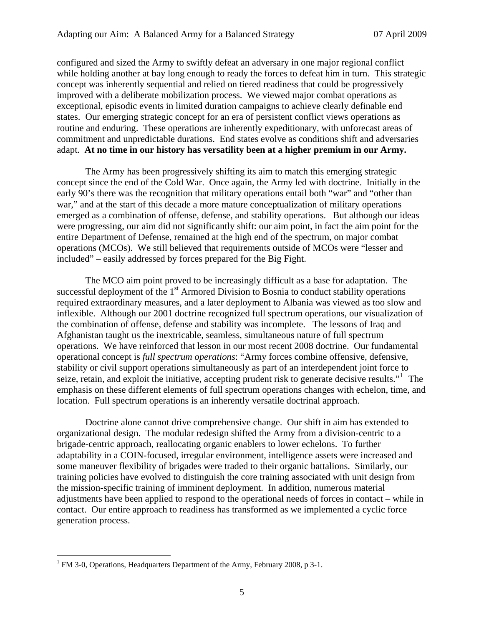configured and sized the Army to swiftly defeat an adversary in one major regional conflict while holding another at bay long enough to ready the forces to defeat him in turn. This strategic concept was inherently sequential and relied on tiered readiness that could be progressively improved with a deliberate mobilization process. We viewed major combat operations as exceptional, episodic events in limited duration campaigns to achieve clearly definable end states. Our emerging strategic concept for an era of persistent conflict views operations as routine and enduring. These operations are inherently expeditionary, with unforecast areas of commitment and unpredictable durations. End states evolve as conditions shift and adversaries adapt. **At no time in our history has versatility been at a higher premium in our Army.**

 The Army has been progressively shifting its aim to match this emerging strategic concept since the end of the Cold War. Once again, the Army led with doctrine. Initially in the early 90's there was the recognition that military operations entail both "war" and "other than war," and at the start of this decade a more mature conceptualization of military operations emerged as a combination of offense, defense, and stability operations. But although our ideas were progressing, our aim did not significantly shift: our aim point, in fact the aim point for the entire Department of Defense, remained at the high end of the spectrum, on major combat operations (MCOs). We still believed that requirements outside of MCOs were "lesser and included" – easily addressed by forces prepared for the Big Fight.

 The MCO aim point proved to be increasingly difficult as a base for adaptation. The successful deployment of the  $1<sup>st</sup>$  Armored Division to Bosnia to conduct stability operations required extraordinary measures, and a later deployment to Albania was viewed as too slow and inflexible. Although our 2001 doctrine recognized full spectrum operations, our visualization of the combination of offense, defense and stability was incomplete. The lessons of Iraq and Afghanistan taught us the inextricable, seamless, simultaneous nature of full spectrum operations. We have reinforced that lesson in our most recent 2008 doctrine. Our fundamental operational concept is *full spectrum operations*: "Army forces combine offensive, defensive, stability or civil support operations simultaneously as part of an interdependent joint force to seize, retain, and exploit the initiative, accepting prudent risk to generate decisive results."<sup>[1](#page-4-0)</sup> The emphasis on these different elements of full spectrum operations changes with echelon, time, and location. Full spectrum operations is an inherently versatile doctrinal approach.

 Doctrine alone cannot drive comprehensive change. Our shift in aim has extended to organizational design. The modular redesign shifted the Army from a division-centric to a brigade-centric approach, reallocating organic enablers to lower echelons. To further adaptability in a COIN-focused, irregular environment, intelligence assets were increased and some maneuver flexibility of brigades were traded to their organic battalions. Similarly, our training policies have evolved to distinguish the core training associated with unit design from the mission-specific training of imminent deployment. In addition, numerous material adjustments have been applied to respond to the operational needs of forces in contact – while in contact. Our entire approach to readiness has transformed as we implemented a cyclic force generation process.

 $\overline{a}$ 

<span id="page-4-0"></span><sup>&</sup>lt;sup>1</sup> FM 3-0, Operations, Headquarters Department of the Army, February 2008, p 3-1.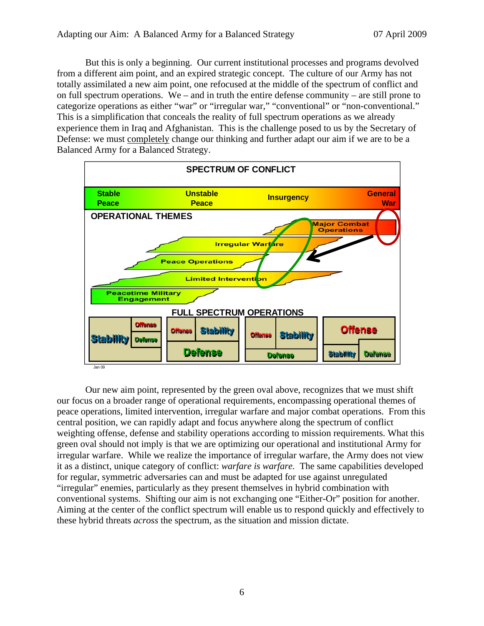But this is only a beginning. Our current institutional processes and programs devolved from a different aim point, and an expired strategic concept. The culture of our Army has not totally assimilated a new aim point, one refocused at the middle of the spectrum of conflict and on full spectrum operations. We – and in truth the entire defense community – are still prone to categorize operations as either "war" or "irregular war," "conventional" or "non-conventional." This is a simplification that conceals the reality of full spectrum operations as we already experience them in Iraq and Afghanistan. This is the challenge posed to us by the Secretary of Defense: we must completely change our thinking and further adapt our aim if we are to be a Balanced Army for a Balanced Strategy.



 Our new aim point, represented by the green oval above, recognizes that we must shift our focus on a broader range of operational requirements, encompassing operational themes of peace operations, limited intervention, irregular warfare and major combat operations. From this central position, we can rapidly adapt and focus anywhere along the spectrum of conflict weighting offense, defense and stability operations according to mission requirements. What this green oval should not imply is that we are optimizing our operational and institutional Army for irregular warfare. While we realize the importance of irregular warfare, the Army does not view it as a distinct, unique category of conflict: *warfare is warfare.* The same capabilities developed for regular, symmetric adversaries can and must be adapted for use against unregulated "irregular" enemies, particularly as they present themselves in hybrid combination with conventional systems. Shifting our aim is not exchanging one "Either-Or" position for another. Aiming at the center of the conflict spectrum will enable us to respond quickly and effectively to these hybrid threats *across* the spectrum, as the situation and mission dictate.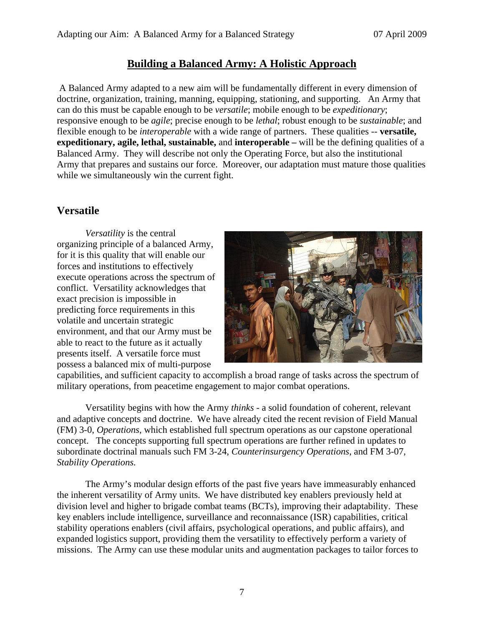### **Building a Balanced Army: A Holistic Approach**

 A Balanced Army adapted to a new aim will be fundamentally different in every dimension of doctrine, organization, training, manning, equipping, stationing, and supporting. An Army that can do this must be capable enough to be *versatile*; mobile enough to be *expeditionary*; responsive enough to be *agile*; precise enough to be *lethal*; robust enough to be *sustainable*; and flexible enough to be *interoperable* with a wide range of partners. These qualities -- **versatile, expeditionary, agile, lethal, sustainable,** and **interoperable** – will be the defining qualities of a Balanced Army. They will describe not only the Operating Force, but also the institutional Army that prepares and sustains our force. Moreover, our adaptation must mature those qualities while we simultaneously win the current fight.

#### **Versatile**

*Versatility* is the central organizing principle of a balanced Army, for it is this quality that will enable our forces and institutions to effectively execute operations across the spectrum of conflict. Versatility acknowledges that exact precision is impossible in predicting force requirements in this volatile and uncertain strategic environment, and that our Army must be able to react to the future as it actually presents itself. A versatile force must possess a balanced mix of multi-purpose



capabilities, and sufficient capacity to accomplish a broad range of tasks across the spectrum of military operations, from peacetime engagement to major combat operations.

Versatility begins with how the Army *thinks* - a solid foundation of coherent, relevant and adaptive concepts and doctrine. We have already cited the recent revision of Field Manual (FM) 3-0, *Operations*, which established full spectrum operations as our capstone operational concept. The concepts supporting full spectrum operations are further refined in updates to subordinate doctrinal manuals such FM 3-24, *Counterinsurgency Operations*, and FM 3-07, *Stability Operations.*

 The Army's modular design efforts of the past five years have immeasurably enhanced the inherent versatility of Army units. We have distributed key enablers previously held at division level and higher to brigade combat teams (BCTs), improving their adaptability. These key enablers include intelligence, surveillance and reconnaissance (ISR) capabilities, critical stability operations enablers (civil affairs, psychological operations, and public affairs), and expanded logistics support, providing them the versatility to effectively perform a variety of missions. The Army can use these modular units and augmentation packages to tailor forces to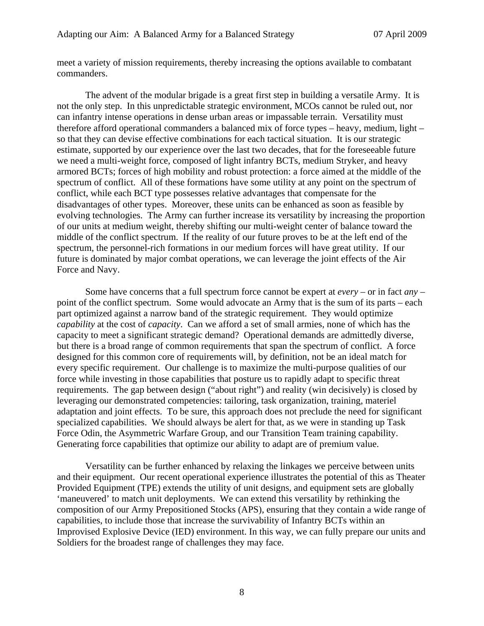meet a variety of mission requirements, thereby increasing the options available to combatant commanders.

 The advent of the modular brigade is a great first step in building a versatile Army. It is not the only step. In this unpredictable strategic environment, MCOs cannot be ruled out, nor can infantry intense operations in dense urban areas or impassable terrain. Versatility must therefore afford operational commanders a balanced mix of force types – heavy, medium, light – so that they can devise effective combinations for each tactical situation. It is our strategic estimate, supported by our experience over the last two decades, that for the foreseeable future we need a multi-weight force, composed of light infantry BCTs, medium Stryker, and heavy armored BCTs; forces of high mobility and robust protection: a force aimed at the middle of the spectrum of conflict. All of these formations have some utility at any point on the spectrum of conflict, while each BCT type possesses relative advantages that compensate for the disadvantages of other types. Moreover, these units can be enhanced as soon as feasible by evolving technologies. The Army can further increase its versatility by increasing the proportion of our units at medium weight, thereby shifting our multi-weight center of balance toward the middle of the conflict spectrum. If the reality of our future proves to be at the left end of the spectrum, the personnel-rich formations in our medium forces will have great utility. If our future is dominated by major combat operations, we can leverage the joint effects of the Air Force and Navy.

 Some have concerns that a full spectrum force cannot be expert at *every* – or in fact *any* – point of the conflict spectrum. Some would advocate an Army that is the sum of its parts – each part optimized against a narrow band of the strategic requirement. They would optimize *capability* at the cost of *capacity*. Can we afford a set of small armies, none of which has the capacity to meet a significant strategic demand? Operational demands are admittedly diverse, but there is a broad range of common requirements that span the spectrum of conflict. A force designed for this common core of requirements will, by definition, not be an ideal match for every specific requirement. Our challenge is to maximize the multi-purpose qualities of our force while investing in those capabilities that posture us to rapidly adapt to specific threat requirements. The gap between design ("about right") and reality (win decisively) is closed by leveraging our demonstrated competencies: tailoring, task organization, training, materiel adaptation and joint effects. To be sure, this approach does not preclude the need for significant specialized capabilities. We should always be alert for that, as we were in standing up Task Force Odin, the Asymmetric Warfare Group, and our Transition Team training capability. Generating force capabilities that optimize our ability to adapt are of premium value.

Versatility can be further enhanced by relaxing the linkages we perceive between units and their equipment. Our recent operational experience illustrates the potential of this as Theater Provided Equipment (TPE) extends the utility of unit designs, and equipment sets are globally 'maneuvered' to match unit deployments. We can extend this versatility by rethinking the composition of our Army Prepositioned Stocks (APS), ensuring that they contain a wide range of capabilities, to include those that increase the survivability of Infantry BCTs within an Improvised Explosive Device (IED) environment. In this way, we can fully prepare our units and Soldiers for the broadest range of challenges they may face.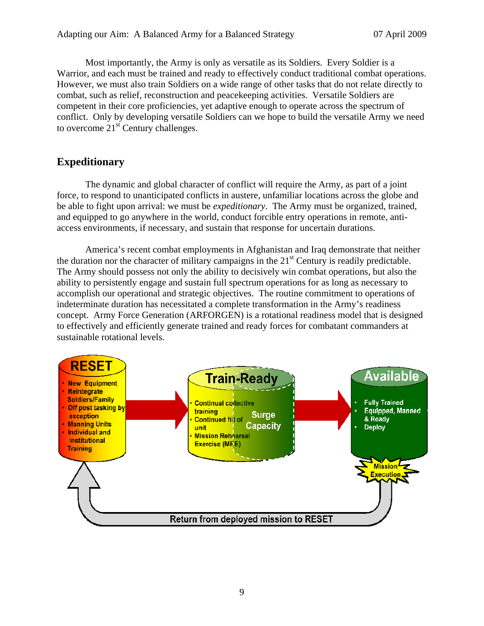Most importantly, the Army is only as versatile as its Soldiers. Every Soldier is a Warrior, and each must be trained and ready to effectively conduct traditional combat operations. However, we must also train Soldiers on a wide range of other tasks that do not relate directly to combat, such as relief, reconstruction and peacekeeping activities. Versatile Soldiers are competent in their core proficiencies, yet adaptive enough to operate across the spectrum of conflict. Only by developing versatile Soldiers can we hope to build the versatile Army we need to overcome  $21<sup>st</sup>$  Century challenges.

### **Expeditionary**

 The dynamic and global character of conflict will require the Army, as part of a joint force, to respond to unanticipated conflicts in austere, unfamiliar locations across the globe and be able to fight upon arrival: we must be *expeditionary*. The Army must be organized, trained, and equipped to go anywhere in the world, conduct forcible entry operations in remote, antiaccess environments, if necessary, and sustain that response for uncertain durations.

 America's recent combat employments in Afghanistan and Iraq demonstrate that neither the duration nor the character of military campaigns in the  $21<sup>st</sup>$  Century is readily predictable. The Army should possess not only the ability to decisively win combat operations, but also the ability to persistently engage and sustain full spectrum operations for as long as necessary to accomplish our operational and strategic objectives. The routine commitment to operations of indeterminate duration has necessitated a complete transformation in the Army's readiness concept. Army Force Generation (ARFORGEN) is a rotational readiness model that is designed to effectively and efficiently generate trained and ready forces for combatant commanders at sustainable rotational levels.

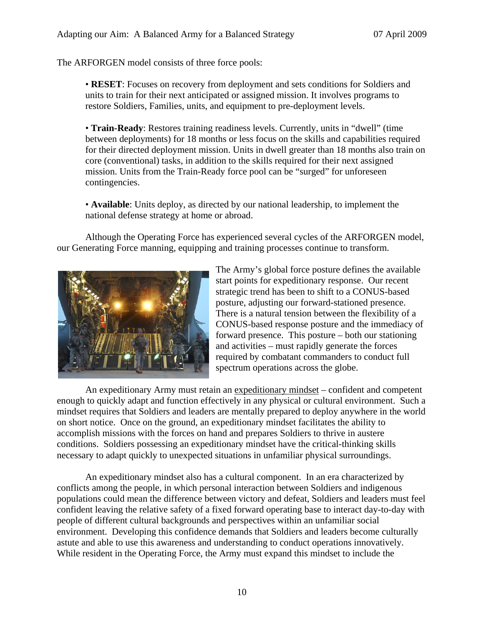The ARFORGEN model consists of three force pools:

• **RESET**: Focuses on recovery from deployment and sets conditions for Soldiers and units to train for their next anticipated or assigned mission. It involves programs to restore Soldiers, Families, units, and equipment to pre-deployment levels.

• **Train-Ready**: Restores training readiness levels. Currently, units in "dwell" (time between deployments) for 18 months or less focus on the skills and capabilities required for their directed deployment mission. Units in dwell greater than 18 months also train on core (conventional) tasks, in addition to the skills required for their next assigned mission. Units from the Train-Ready force pool can be "surged" for unforeseen contingencies.

• **Available**: Units deploy, as directed by our national leadership, to implement the national defense strategy at home or abroad.

Although the Operating Force has experienced several cycles of the ARFORGEN model, our Generating Force manning, equipping and training processes continue to transform.



The Army's global force posture defines the available start points for expeditionary response. Our recent strategic trend has been to shift to a CONUS-based posture, adjusting our forward-stationed presence. There is a natural tension between the flexibility of a CONUS-based response posture and the immediacy of forward presence. This posture – both our stationing and activities – must rapidly generate the forces required by combatant commanders to conduct full spectrum operations across the globe.

 An expeditionary Army must retain an expeditionary mindset – confident and competent enough to quickly adapt and function effectively in any physical or cultural environment. Such a mindset requires that Soldiers and leaders are mentally prepared to deploy anywhere in the world on short notice. Once on the ground, an expeditionary mindset facilitates the ability to accomplish missions with the forces on hand and prepares Soldiers to thrive in austere conditions. Soldiers possessing an expeditionary mindset have the critical-thinking skills necessary to adapt quickly to unexpected situations in unfamiliar physical surroundings.

 An expeditionary mindset also has a cultural component. In an era characterized by conflicts among the people, in which personal interaction between Soldiers and indigenous populations could mean the difference between victory and defeat, Soldiers and leaders must feel confident leaving the relative safety of a fixed forward operating base to interact day-to-day with people of different cultural backgrounds and perspectives within an unfamiliar social environment. Developing this confidence demands that Soldiers and leaders become culturally astute and able to use this awareness and understanding to conduct operations innovatively. While resident in the Operating Force, the Army must expand this mindset to include the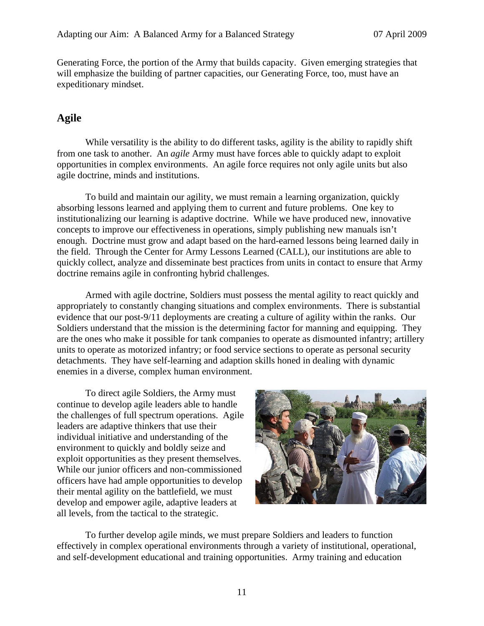Generating Force, the portion of the Army that builds capacity. Given emerging strategies that will emphasize the building of partner capacities, our Generating Force, too, must have an expeditionary mindset.

### **Agile**

While versatility is the ability to do different tasks, agility is the ability to rapidly shift from one task to another. An *agile* Army must have forces able to quickly adapt to exploit opportunities in complex environments. An agile force requires not only agile units but also agile doctrine, minds and institutions.

To build and maintain our agility, we must remain a learning organization, quickly absorbing lessons learned and applying them to current and future problems. One key to institutionalizing our learning is adaptive doctrine. While we have produced new, innovative concepts to improve our effectiveness in operations, simply publishing new manuals isn't enough. Doctrine must grow and adapt based on the hard-earned lessons being learned daily in the field. Through the Center for Army Lessons Learned (CALL), our institutions are able to quickly collect, analyze and disseminate best practices from units in contact to ensure that Army doctrine remains agile in confronting hybrid challenges.

Armed with agile doctrine, Soldiers must possess the mental agility to react quickly and appropriately to constantly changing situations and complex environments. There is substantial evidence that our post-9/11 deployments are creating a culture of agility within the ranks. Our Soldiers understand that the mission is the determining factor for manning and equipping. They are the ones who make it possible for tank companies to operate as dismounted infantry; artillery units to operate as motorized infantry; or food service sections to operate as personal security detachments. They have self-learning and adaption skills honed in dealing with dynamic enemies in a diverse, complex human environment.

 To direct agile Soldiers, the Army must continue to develop agile leaders able to handle the challenges of full spectrum operations. Agile leaders are adaptive thinkers that use their individual initiative and understanding of the environment to quickly and boldly seize and exploit opportunities as they present themselves. While our junior officers and non-commissioned officers have had ample opportunities to develop their mental agility on the battlefield, we must develop and empower agile, adaptive leaders at all levels, from the tactical to the strategic.



To further develop agile minds, we must prepare Soldiers and leaders to function effectively in complex operational environments through a variety of institutional, operational, and self-development educational and training opportunities. Army training and education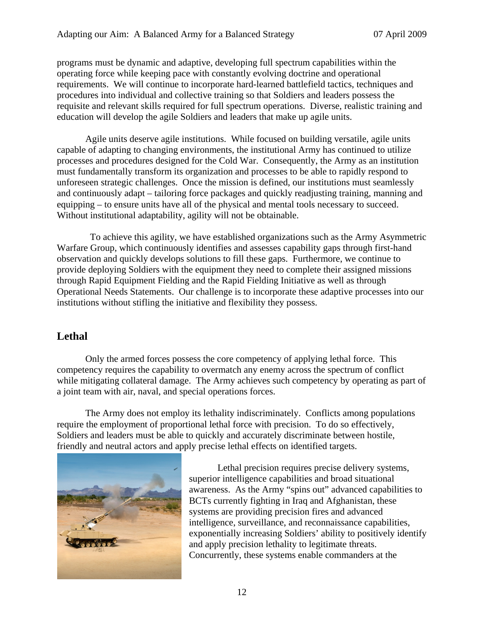programs must be dynamic and adaptive, developing full spectrum capabilities within the operating force while keeping pace with constantly evolving doctrine and operational requirements. We will continue to incorporate hard-learned battlefield tactics, techniques and procedures into individual and collective training so that Soldiers and leaders possess the requisite and relevant skills required for full spectrum operations. Diverse, realistic training and education will develop the agile Soldiers and leaders that make up agile units.

 Agile units deserve agile institutions. While focused on building versatile, agile units capable of adapting to changing environments, the institutional Army has continued to utilize processes and procedures designed for the Cold War. Consequently, the Army as an institution must fundamentally transform its organization and processes to be able to rapidly respond to unforeseen strategic challenges. Once the mission is defined, our institutions must seamlessly and continuously adapt – tailoring force packages and quickly readjusting training, manning and equipping – to ensure units have all of the physical and mental tools necessary to succeed. Without institutional adaptability, agility will not be obtainable.

 To achieve this agility, we have established organizations such as the Army Asymmetric Warfare Group, which continuously identifies and assesses capability gaps through first-hand observation and quickly develops solutions to fill these gaps. Furthermore, we continue to provide deploying Soldiers with the equipment they need to complete their assigned missions through Rapid Equipment Fielding and the Rapid Fielding Initiative as well as through Operational Needs Statements. Our challenge is to incorporate these adaptive processes into our institutions without stifling the initiative and flexibility they possess.

### **Lethal**

Only the armed forces possess the core competency of applying lethal force. This competency requires the capability to overmatch any enemy across the spectrum of conflict while mitigating collateral damage. The Army achieves such competency by operating as part of a joint team with air, naval, and special operations forces.

 The Army does not employ its lethality indiscriminately. Conflicts among populations require the employment of proportional lethal force with precision.To do so effectively, Soldiers and leaders must be able to quickly and accurately discriminate between hostile, friendly and neutral actors and apply precise lethal effects on identified targets.



 Lethal precision requires precise delivery systems, superior intelligence capabilities and broad situational awareness. As the Army "spins out" advanced capabilities to BCTs currently fighting in Iraq and Afghanistan, these systems are providing precision fires and advanced intelligence, surveillance, and reconnaissance capabilities, exponentially increasing Soldiers' ability to positively identify and apply precision lethality to legitimate threats. Concurrently, these systems enable commanders at the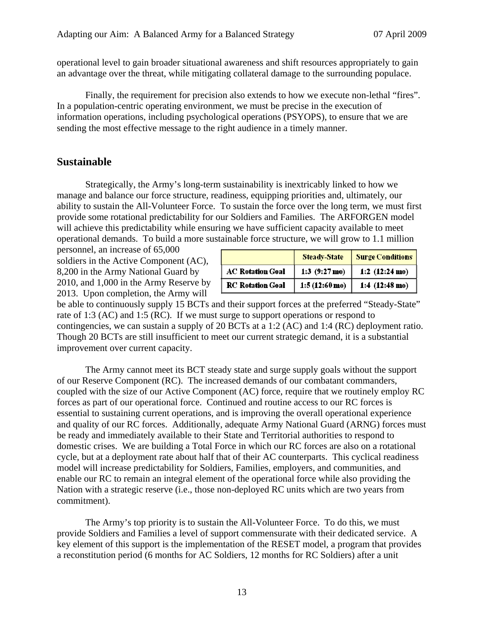operational level to gain broader situational awareness and shift resources appropriately to gain an advantage over the threat, while mitigating collateral damage to the surrounding populace.

 Finally, the requirement for precision also extends to how we execute non-lethal "fires". In a population-centric operating environment, we must be precise in the execution of information operations, including psychological operations (PSYOPS), to ensure that we are sending the most effective message to the right audience in a timely manner.

#### **Sustainable**

 Strategically, the Army's long-term sustainability is inextricably linked to how we manage and balance our force structure, readiness, equipping priorities and, ultimately, our ability to sustain the All-Volunteer Force. To sustain the force over the long term, we must first provide some rotational predictability for our Soldiers and Families. The ARFORGEN model will achieve this predictability while ensuring we have sufficient capacity available to meet operational demands. To build a more sustainable force structure, we will grow to 1.1 million

personnel, an increase of 65,000 soldiers in the Active Component (AC), 8,200 in the Army National Guard by 2010, and 1,000 in the Army Reserve by 2013. Upon completion, the Army will

|                         | <b>Steady-State</b>     | <b>Surge Conditions</b>  |
|-------------------------|-------------------------|--------------------------|
| <b>AC Rotation Goal</b> | 1:3 $(9:27 \text{ mo})$ | 1:2 $(12:24 \text{ mo})$ |
| <b>RC</b> Rotation Goal | $1:5(12:60 \text{ mo})$ | 1:4 $(12:48 \text{ mo})$ |

be able to continuously supply 15 BCTs and their support forces at the preferred "Steady-State" rate of 1:3 (AC) and 1:5 (RC). If we must surge to support operations or respond to contingencies, we can sustain a supply of 20 BCTs at a 1:2 (AC) and 1:4 (RC) deployment ratio. Though 20 BCTs are still insufficient to meet our current strategic demand, it is a substantial improvement over current capacity.

 The Army cannot meet its BCT steady state and surge supply goals without the support of our Reserve Component (RC). The increased demands of our combatant commanders, coupled with the size of our Active Component (AC) force, require that we routinely employ RC forces as part of our operational force. Continued and routine access to our RC forces is essential to sustaining current operations, and is improving the overall operational experience and quality of our RC forces. Additionally, adequate Army National Guard (ARNG) forces must be ready and immediately available to their State and Territorial authorities to respond to domestic crises. We are building a Total Force in which our RC forces are also on a rotational cycle, but at a deployment rate about half that of their AC counterparts. This cyclical readiness model will increase predictability for Soldiers, Families, employers, and communities, and enable our RC to remain an integral element of the operational force while also providing the Nation with a strategic reserve (i.e., those non-deployed RC units which are two years from commitment).

 The Army's top priority is to sustain the All-Volunteer Force. To do this, we must provide Soldiers and Families a level of support commensurate with their dedicated service. A key element of this support is the implementation of the RESET model, a program that provides a reconstitution period (6 months for AC Soldiers, 12 months for RC Soldiers) after a unit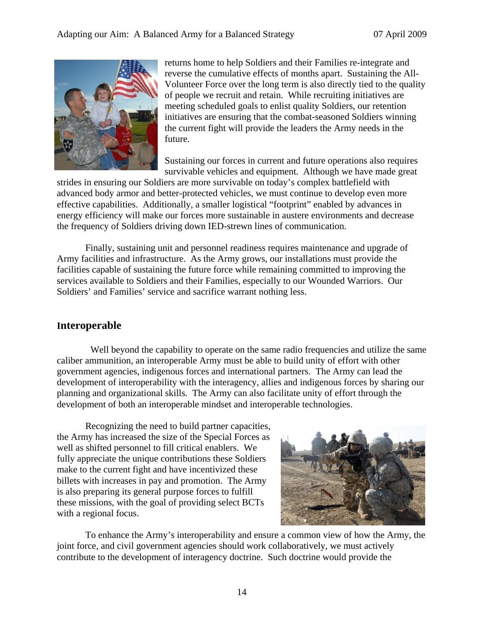

returns home to help Soldiers and their Families re-integrate and reverse the cumulative effects of months apart. Sustaining the All-Volunteer Force over the long term is also directly tied to the quality of people we recruit and retain. While recruiting initiatives are meeting scheduled goals to enlist quality Soldiers, our retention initiatives are ensuring that the combat-seasoned Soldiers winning the current fight will provide the leaders the Army needs in the future.

Sustaining our forces in current and future operations also requires survivable vehicles and equipment. Although we have made great

strides in ensuring our Soldiers are more survivable on today's complex battlefield with advanced body armor and better-protected vehicles, we must continue to develop even more effective capabilities. Additionally, a smaller logistical "footprint" enabled by advances in energy efficiency will make our forces more sustainable in austere environments and decrease the frequency of Soldiers driving down IED-strewn lines of communication.

Finally, sustaining unit and personnel readiness requires maintenance and upgrade of Army facilities and infrastructure. As the Army grows, our installations must provide the facilities capable of sustaining the future force while remaining committed to improving the services available to Soldiers and their Families, especially to our Wounded Warriors. Our Soldiers' and Families' service and sacrifice warrant nothing less.

#### **Interoperable**

Well beyond the capability to operate on the same radio frequencies and utilize the same caliber ammunition, an interoperable Army must be able to build unity of effort with other government agencies, indigenous forces and international partners. The Army can lead the development of interoperability with the interagency, allies and indigenous forces by sharing our planning and organizational skills. The Army can also facilitate unity of effort through the development of both an interoperable mindset and interoperable technologies.

 Recognizing the need to build partner capacities, the Army has increased the size of the Special Forces as well as shifted personnel to fill critical enablers. We fully appreciate the unique contributions these Soldiers make to the current fight and have incentivized these billets with increases in pay and promotion. The Army is also preparing its general purpose forces to fulfill these missions, with the goal of providing select BCTs with a regional focus.



 To enhance the Army's interoperability and ensure a common view of how the Army, the joint force, and civil government agencies should work collaboratively, we must actively contribute to the development of interagency doctrine. Such doctrine would provide the